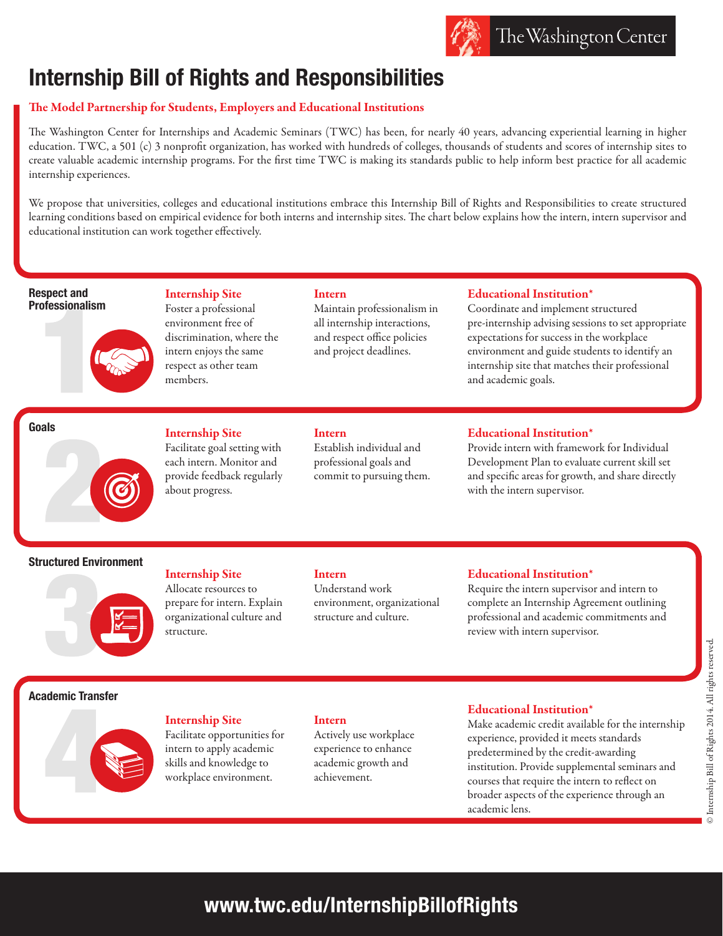# **Internship Bill of Rights and Responsibilities**

# The Model Partnership for Students, Employers and Educational Institutions

The Washington Center for Internships and Academic Seminars (TWC) has been, for nearly 40 years, advancing experiential learning in higher education. TWC, a 501 (c) 3 nonprofit organization, has worked with hundreds of colleges, thousands of students and scores of internship sites to create valuable academic internship programs. For the first time TWC is making its standards public to help inform best practice for all academic internship experiences.

We propose that universities, colleges and educational institutions embrace this Internship Bill of Rights and Responsibilities to create structured learning conditions based on empirical evidence for both interns and internship sites. The chart below explains how the intern, intern supervisor and educational institution can work together effectively.

**Respect and Professionalism**



Internship Site Foster a professional environment free of discrimination, where the intern enjoys the same respect as other team members.

### Intern

Maintain professionalism in all internship interactions, and respect office policies and project deadlines.

# Educational Institution\*

Coordinate and implement structured pre-internship advising sessions to set appropriate expectations for success in the workplace environment and guide students to identify an internship site that matches their professional and academic goals.

# **Goals**

# Internship Site

Facilitate goal setting with each intern. Monitor and provide feedback regularly about progress.

# Intern

Establish individual and professional goals and commit to pursuing them.

# Educational Institution\*

Provide intern with framework for Individual Development Plan to evaluate current skill set and specific areas for growth, and share directly with the intern supervisor.

# **Structured Environment**



# Internship Site

Allocate resources to prepare for intern. Explain organizational culture and structure.

## Intern

Understand work environment, organizational structure and culture.

## Educational Institution\*

Require the intern supervisor and intern to complete an Internship Agreement outlining professional and academic commitments and review with intern supervisor.

# **Academic Transfer**



# Internship Site

Facilitate opportunities for intern to apply academic skills and knowledge to workplace environment.

# Intern

Actively use workplace experience to enhance academic growth and achievement.

## Educational Institution\*

Make academic credit available for the internship experience, provided it meets standards predetermined by the credit-awarding institution. Provide supplemental seminars and courses that require the intern to reflect on broader aspects of the experience through an academic lens.

**www.twc.edu/InternshipBillofRights**